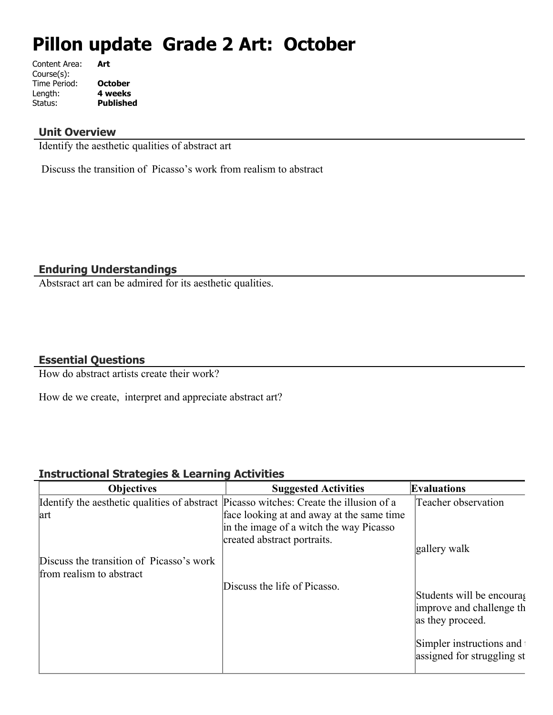# **Pillon update Grade 2 Art: October**

| Content Area: | Art              |
|---------------|------------------|
| Course(s):    |                  |
| Time Period:  | <b>October</b>   |
| Length:       | 4 weeks          |
| Status:       | <b>Published</b> |
|               |                  |

# **Unit Overview**

Identify the aesthetic qualities of abstract art

Discuss the transition of Picasso's work from realism to abstract

# **Enduring Understandings**

Abstsract art can be admired for its aesthetic qualities.

# **Essential Questions**

How do abstract artists create their work?

How de we create, interpret and appreciate abstract art?

# **Instructional Strategies & Learning Activities**

| <b>Objectives</b>                                                                      | <b>Suggested Activities</b>               | <b>Evaluations</b>                                                         |
|----------------------------------------------------------------------------------------|-------------------------------------------|----------------------------------------------------------------------------|
| Identify the aesthetic qualities of abstract Picasso witches: Create the illusion of a |                                           | Teacher observation                                                        |
| art                                                                                    | face looking at and away at the same time |                                                                            |
|                                                                                        | in the image of a witch the way Picasso   |                                                                            |
|                                                                                        | created abstract portraits.               |                                                                            |
|                                                                                        |                                           | gallery walk                                                               |
| Discuss the transition of Picasso's work                                               |                                           |                                                                            |
| from realism to abstract                                                               |                                           |                                                                            |
|                                                                                        | Discuss the life of Picasso.              | Students will be encouras<br>improve and challenge the<br>as they proceed. |
|                                                                                        |                                           | Simpler instructions and<br>assigned for struggling st                     |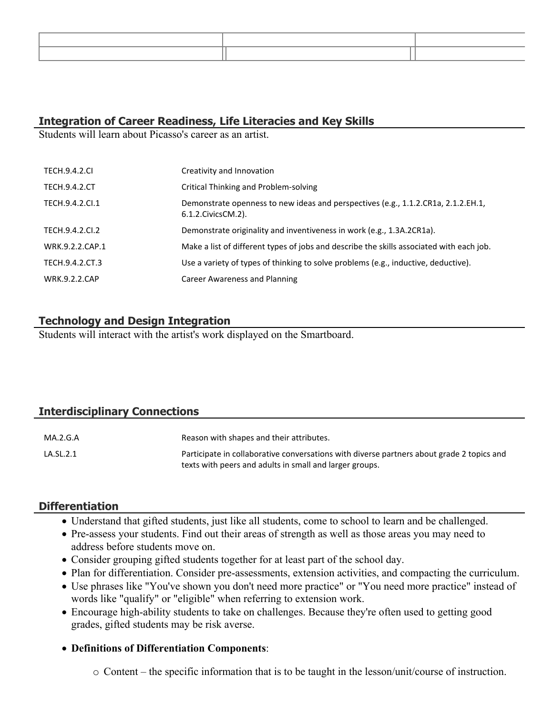# **Integration of Career Readiness, Life Literacies and Key Skills**

Students will learn about Picasso's career as an artist.

| <b>TECH.9.4.2.CI</b> | Creativity and Innovation                                                                                  |
|----------------------|------------------------------------------------------------------------------------------------------------|
| <b>TECH.9.4.2.CT</b> | Critical Thinking and Problem-solving                                                                      |
| TECH.9.4.2.Cl.1      | Demonstrate openness to new ideas and perspectives (e.g., 1.1.2.CR1a, 2.1.2.EH.1,<br>6.1.2. Civics CM. 2). |
| TECH.9.4.2.CI.2      | Demonstrate originality and inventiveness in work (e.g., 1.3A.2CR1a).                                      |
| WRK.9.2.2.CAP.1      | Make a list of different types of jobs and describe the skills associated with each job.                   |
| TECH.9.4.2.CT.3      | Use a variety of types of thinking to solve problems (e.g., inductive, deductive).                         |
| <b>WRK.9.2.2.CAP</b> | Career Awareness and Planning                                                                              |

# **Technology and Design Integration**

Students will interact with the artist's work displayed on the Smartboard.

# **Interdisciplinary Connections**

| MA.2.G.A  | Reason with shapes and their attributes.                                                                                                             |
|-----------|------------------------------------------------------------------------------------------------------------------------------------------------------|
| LA.SL.2.1 | Participate in collaborative conversations with diverse partners about grade 2 topics and<br>texts with peers and adults in small and larger groups. |

## **Differentiation**

- Understand that gifted students, just like all students, come to school to learn and be challenged.
- Pre-assess your students. Find out their areas of strength as well as those areas you may need to address before students move on.
- Consider grouping gifted students together for at least part of the school day.
- Plan for differentiation. Consider pre-assessments, extension activities, and compacting the curriculum.
- Use phrases like "You've shown you don't need more practice" or "You need more practice" instead of words like "qualify" or "eligible" when referring to extension work.
- Encourage high-ability students to take on challenges. Because they're often used to getting good grades, gifted students may be risk averse.

## **Definitions of Differentiation Components**:

 $\circ$  Content – the specific information that is to be taught in the lesson/unit/course of instruction.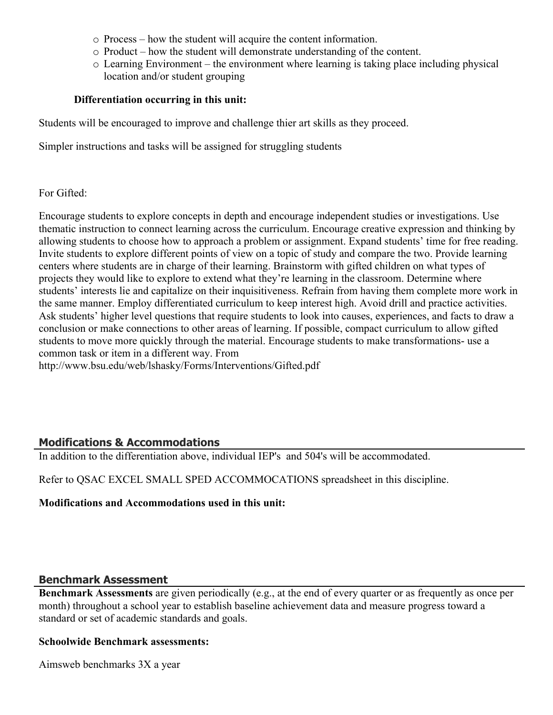- o Process how the student will acquire the content information.
- o Product how the student will demonstrate understanding of the content.
- o Learning Environment the environment where learning is taking place including physical location and/or student grouping

#### **Differentiation occurring in this unit:**

Students will be encouraged to improve and challenge thier art skills as they proceed.

Simpler instructions and tasks will be assigned for struggling students

#### For Gifted:

Encourage students to explore concepts in depth and encourage independent studies or investigations. Use thematic instruction to connect learning across the curriculum. Encourage creative expression and thinking by allowing students to choose how to approach a problem or assignment. Expand students' time for free reading. Invite students to explore different points of view on a topic of study and compare the two. Provide learning centers where students are in charge of their learning. Brainstorm with gifted children on what types of projects they would like to explore to extend what they're learning in the classroom. Determine where students' interests lie and capitalize on their inquisitiveness. Refrain from having them complete more work in the same manner. Employ differentiated curriculum to keep interest high. Avoid drill and practice activities. Ask students' higher level questions that require students to look into causes, experiences, and facts to draw a conclusion or make connections to other areas of learning. If possible, compact curriculum to allow gifted students to move more quickly through the material. Encourage students to make transformations- use a common task or item in a different way. From

http://www.bsu.edu/web/lshasky/Forms/Interventions/Gifted.pdf

# **Modifications & Accommodations**

In addition to the differentiation above, individual IEP's and 504's will be accommodated.

Refer to QSAC EXCEL SMALL SPED ACCOMMOCATIONS spreadsheet in this discipline.

#### **Modifications and Accommodations used in this unit:**

## **Benchmark Assessment**

**Benchmark Assessments** are given periodically (e.g., at the end of every quarter or as frequently as once per month) throughout a school year to establish baseline achievement data and measure progress toward a standard or set of academic standards and goals.

#### **Schoolwide Benchmark assessments:**

Aimsweb benchmarks 3X a year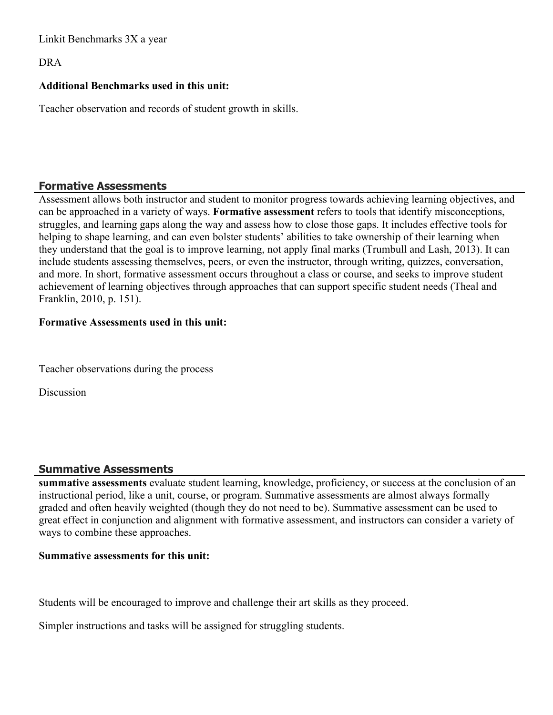Linkit Benchmarks 3X a year

DRA

# **Additional Benchmarks used in this unit:**

Teacher observation and records of student growth in skills.

# **Formative Assessments**

Assessment allows both instructor and student to monitor progress towards achieving learning objectives, and can be approached in a variety of ways. **Formative assessment** refers to tools that identify misconceptions, struggles, and learning gaps along the way and assess how to close those gaps. It includes effective tools for helping to shape learning, and can even bolster students' abilities to take ownership of their learning when they understand that the goal is to improve learning, not apply final marks (Trumbull and Lash, 2013). It can include students assessing themselves, peers, or even the instructor, through writing, quizzes, conversation, and more. In short, formative assessment occurs throughout a class or course, and seeks to improve student achievement of learning objectives through approaches that can support specific student needs (Theal and Franklin, 2010, p. 151).

## **Formative Assessments used in this unit:**

Teacher observations during the process

Discussion

## **Summative Assessments**

**summative assessments** evaluate student learning, knowledge, proficiency, or success at the conclusion of an instructional period, like a unit, course, or program. Summative assessments are almost always formally graded and often heavily weighted (though they do not need to be). Summative assessment can be used to great effect in conjunction and alignment with formative assessment, and instructors can consider a variety of ways to combine these approaches.

## **Summative assessments for this unit:**

Students will be encouraged to improve and challenge their art skills as they proceed.

Simpler instructions and tasks will be assigned for struggling students.